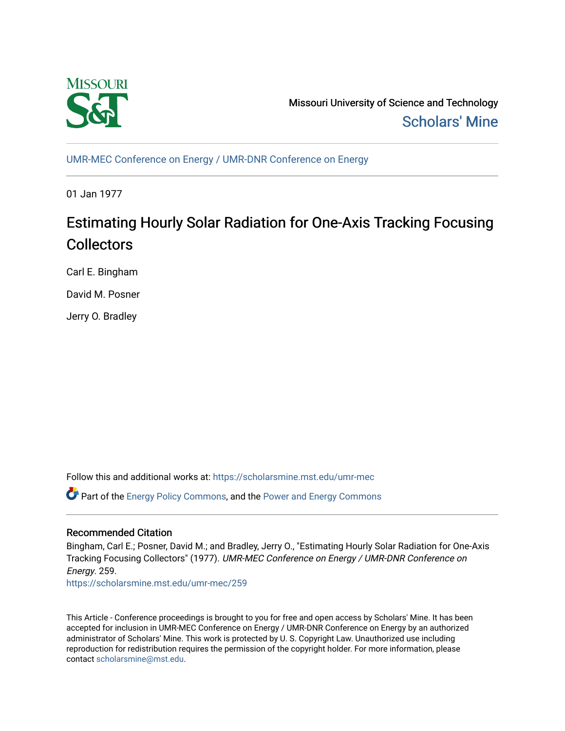

Missouri University of Science and Technology [Scholars' Mine](https://scholarsmine.mst.edu/) 

[UMR-MEC Conference on Energy / UMR-DNR Conference on Energy](https://scholarsmine.mst.edu/umr-mec)

01 Jan 1977

# Estimating Hourly Solar Radiation for One-Axis Tracking Focusing **Collectors**

Carl E. Bingham

David M. Posner

Jerry O. Bradley

Follow this and additional works at: [https://scholarsmine.mst.edu/umr-mec](https://scholarsmine.mst.edu/umr-mec?utm_source=scholarsmine.mst.edu%2Fumr-mec%2F259&utm_medium=PDF&utm_campaign=PDFCoverPages) 

 $\bullet$  Part of the [Energy Policy Commons](http://network.bepress.com/hgg/discipline/1065?utm_source=scholarsmine.mst.edu%2Fumr-mec%2F259&utm_medium=PDF&utm_campaign=PDFCoverPages), and the Power and Energy Commons

## Recommended Citation

Bingham, Carl E.; Posner, David M.; and Bradley, Jerry O., "Estimating Hourly Solar Radiation for One-Axis Tracking Focusing Collectors" (1977). UMR-MEC Conference on Energy / UMR-DNR Conference on Energy. 259.

[https://scholarsmine.mst.edu/umr-mec/259](https://scholarsmine.mst.edu/umr-mec/259?utm_source=scholarsmine.mst.edu%2Fumr-mec%2F259&utm_medium=PDF&utm_campaign=PDFCoverPages) 

This Article - Conference proceedings is brought to you for free and open access by Scholars' Mine. It has been accepted for inclusion in UMR-MEC Conference on Energy / UMR-DNR Conference on Energy by an authorized administrator of Scholars' Mine. This work is protected by U. S. Copyright Law. Unauthorized use including reproduction for redistribution requires the permission of the copyright holder. For more information, please contact [scholarsmine@mst.edu](mailto:scholarsmine@mst.edu).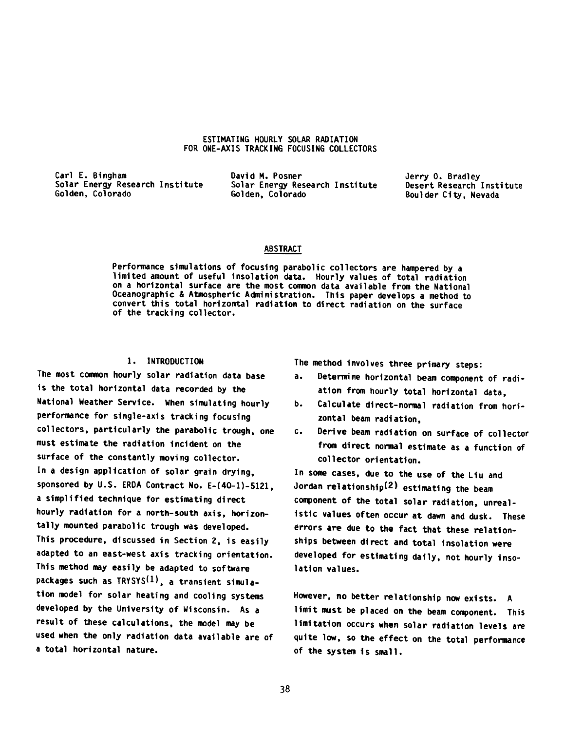### **ESTIMATING HOURLY SOLAR RADIATION FOR ONE-AXIS TRACKING FOCUSING COLLECTORS**

Solar Energy Research Institute<br>Golden, Colorado

**Carl E. Bingham David M. Posner Jerry 0. Bradley Golden, Colorado Golden, Colorado Boulder C ity , Nevada**

## **ABSTRACT**

Performance simulations of focusing parabolic collectors are hampered by a limited amount of useful insolation data. Hourly values of total radiation on a horizontal surface are the most common data available from the National **Oceanographic A Atmospheric A dm inistration. Th is paper develops a method to** convert this total horizontal radiation to direct radiation on the surface of the tracking collector.

## **1. INTRODUCTION**

The most common hourly solar radiation data base is the total horizontal data recorded by the National Weather Service. When simulating hourly performance for single-axis tracking focusing collectors, particularly the parabolic trough, one must estimate the radiation incident on the surface of the constantly moving collector. In a design application of solar grain drying, sponsored by U.S. ERDA Contract No. E-(40-1)-5121, a simplified technique for estimating direct hourly radiation for a north-south axis, horizontally mounted parabolic trough was developed. This procedure, discussed in Section 2, is easily adapted to an east-west axis tracking orientation. This method may easily be adapted to software packages such as TRYSYS<sup>(1)</sup>, a transient simulation model for solar heating and cooling systems developed by the University of Wisconsin. As a result of these calculations, the model may be used when the only radiation data available are of a total horizontal nature.

**The method involves three primary steps:**

- a. Determine horizontal beam component of radi**ation from hourly total horizontal data,**
- b. Calculate direct-normal radiation from horizontal beam radiation,
- c. Derive beam radiation on surface of collector from direct normal estimate as a function of collector orientation.

**In some cases, due to the use of the L1u and Jordan re la tio n s h ip ^ ) estim ating the beam** component of the total solar radiation, unrealistic values often occur at dawn and dusk. These errors are due to the fact that these relationships between direct and total insolation were developed for estimating daily, not hourly insolation values.

However, no better relationship now exists. A **lim it must be placed on the beam component. This** limitation occurs when solar radiation levels are quite low, so the effect on the total performance of the system is small.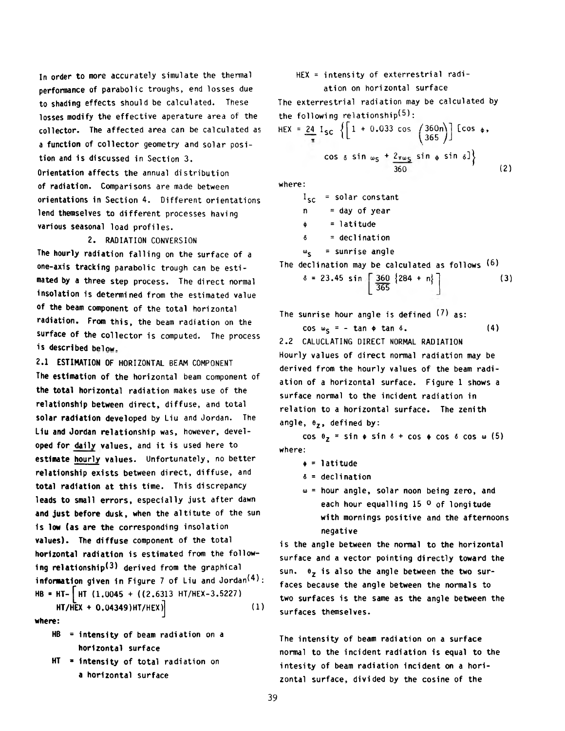In order to more accurately simulate the thermal performance of parabolic troughs, end losses due to shading effects should be calculated. These losses modify the effective aperature area of the collector. The affected area can be calculated as a function of collector geometry and solar position and is discussed in Section 3. Orientation affects the annual distribution of radiation. Comparisons are made between orientations in Section 4. Different orientations lend themselves to different processes having various seasonal load profiles.

2. RADIATION CONVERSION The hourly radiation falling on the surface of a one-axis tracking parabolic trough can be estimated by a three step process. The direct normal insolation is determined from the estimated value of the beam component of the total horizontal radiation. From this, the beam radiation on the surface of the collector is computed. The process is described below,

2.1 ESTIMATION OF HORIZONTAL BEAM COMPONENT The estimation of the horizontal beam component of the total horizontal radiation makes use of the relationship between direct, diffuse, and total solar radiation developed by Liu and Jordan. The Liu and Jordan relationship was, however, developed for daily values, and it is used here to estimate hourly values. Unfortunately, no better relationship exists between direct, diffuse, and total radiation at this time. This discrepancy leads to small errors, especially just after dawn and just before dusk, when the altitute of the sun is low (as are the corresponding insolation values). The diffuse component of the total horizontal radiation is estimated from the following relationship<sup>(3)</sup> derived from the graphical information given in Figure 7 of Liu and Jordan<sup>(4)</sup>: HB = HT- | HT (1.0045 + ((2.6313 HT/HEX-3.5227)

 $HT/HEX + 0.04349)$ HT/HEX $)$  (1) where:

- $HB =$  intensity of beam radiation on a horizontal surface
- $HT =$  intensity of total radiation on a horizontal surface

HEX = intensity of exterrestrial radiation on horizontal surface

The exterrestrial radiation may be calculated by the following relationship $(5)$ :

$$
HEX = \frac{24}{\pi} \, \text{I}_{SC} \left\{ \left[ 1 + 0.033 \cos \left( \frac{360n}{365} \right) \right] \, \left[ \cos \phi, \right. \right\}
$$
\n
$$
\cos \phi \sin \omega_{S} + \frac{2\pi \omega_{S}}{360} \sin \phi \sin \phi \right\} \tag{2}
$$

where:

I<sub>sc</sub> = solar constant  $n = day of year$  $=$  latitude  $\delta$  = declination  $\omega_{\mathsf{c}}$  = sunrise angle

The declination may be calculated as follows <sup>(6)</sup>

$$
\delta = 23.45 \sin \left[ \frac{360}{365} \{ 284 + n \} \right]
$$
 (3)

The sunrise hour angle is defined  $(7)$  as:

 $\cos w_c = - \tan \phi \tan \delta.$  (4)

2.2 CALUCLATING DIRECT NORMAL RADIATION Hourly values of direct normal radiation may be derived from the hourly values of the beam radiation of a horizontal surface. Figure 1 shows a surface normal to the incident radiation in relation to a horizontal surface. The zenith angle,  $\theta_{z}$ , defined by:

cos  $\theta_7$  = sin  $\phi$  sin  $\delta$  + cos  $\phi$  cos  $\delta$  cos  $\omega$  (5) where:

- $\phi$  = latitude
- $\delta$  = declination
- $\omega$  = hour angle, solar noon being zero, and each hour equalling 15 <sup>0</sup> of longitude with mornings positive and the afternoons negative

is the angle between the normal to the horizontal surface and a vector pointing directly toward the sun.  $\theta_7$  is also the angle between the two surfaces because the angle between the normals to two surfaces is the same as the angle between the surfaces themselves.

The intensity of beam radiation on a surface normal to the incident radiation is equal to the intesity of beam radiation incident on a horizontal surface, divided by the cosine of the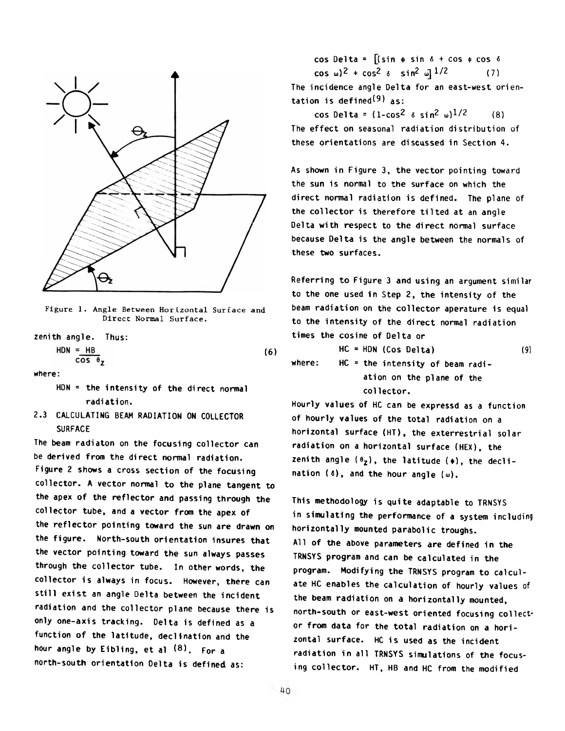

Figure 1. Angle Between Horizontal Surface and Direct Normal Surface.

zenith angle. Thus:  $HDN = HB$ **(6)**  $cos \theta$ where:

HDN = the intensity of the direct normal radiation.

2.3 CALCULATING BEAM RADIATION ON COLLECTOR SURFACE

The beam radiaton on the focusing collector can be derived from the direct normal radiation. Figure 2 shows a cross section of the focusing collector. A vector normal to the plane tangent to the apex of the reflector and passing through the collector tube, and a vector from the apex of the reflector pointing toward the sun are drawn on the figure. North-south orientation insures that the vector pointing toward the sun always passes through the collector tube. In other words, the collector is always in focus. However, there can still exist an angle Delta between the incident radiation and the collector plane because there is only one-axis tracking. Delta is defined as a function of the latitude, declination and the hour angle by Eibling, et al  $(8)$ . For a north-south orientation Delta is defined as:

cos Delta =  $[(sin \phi sin \delta + cos \phi cos \delta$  $\cos \omega$ )<sup>2</sup> +  $\cos^2 \delta$  sin<sup>2</sup> w]<sup>1/2</sup> (7) The incidence angle Delta for an east-west orientation is defined<sup>(9)</sup> as:

cos Delta =  $(1-\cos^2 \delta \sin^2 \omega)^{1/2}$  (8) The effect on seasonal radiation distribution of these orientations are discussed in Section 4.

As shown in Figure 3, the vector pointing toward the sun is normal to the surface on which the direct normal radiation is defined. The plane of the collector is therefore tilted at an angle Delta with respect to the direct normal surface because Delta is the angle between the normals of these two surfaces.

Referring to Figure 3 and using an argument similar to the one used in Step 2, the intensity of the beam radiation on the collector aperature is equal to the intensity of the direct normal radiation times the cosine of Delta or

 $HC = HDN (Cos Delta)$  (9) where:  $HC = the intensity of beam radi$ ation on the plane of the collector.

Hourly values of HC can be expressd as a function of hourly values of the total radiation on a horizontal surface (HT), the exterrestrial solar radiation on a horizontal surface (HEX), the zenith angle  $(\theta_2)$ , the latitude  $(\phi)$ , the declination (6), and the hour angle  $(\omega)$ .

This methodology is quite adaptable to TRNSYS in simulating the performance of a system including horizontally mounted parabolic troughs. All of the above parameters are defined in the TRNSYS program and can be calculated in the program. Modifying the TRNSYS program to calculate HC enables the calculation of hourly values of the beam radiation on a horizontally mounted, north-south or east-west oriented focusing collector from data for the total radiation on a horizontal surface. HC is used as the incident radiation in all TRNSYS simulations of the focusing collector. HT, HB and HC from the modified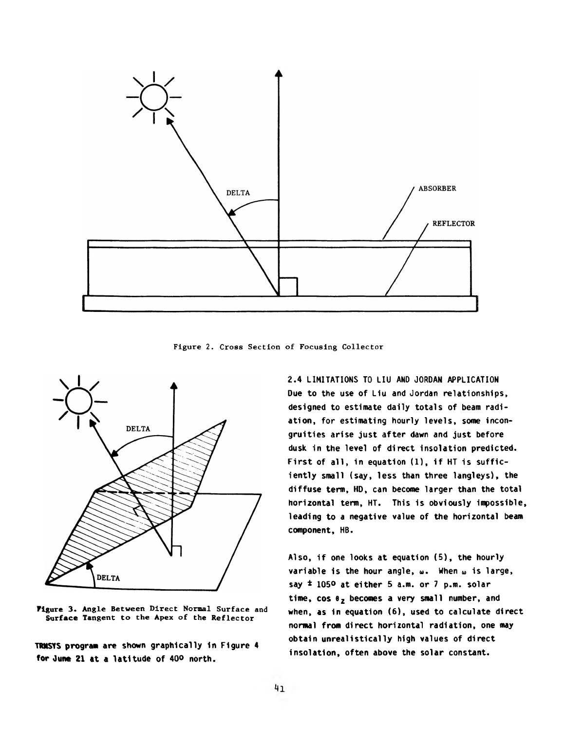

Figure 2. Cross Section of Focusing Collector



**Figure 3.** Angle Between Direct Normal Surface and **Surface** Tangent to the Apex of the Reflector

**TRNSYS program are shown graphically in Figure 4** for June 21 at a latitude of 40° north.

**2.4 LIMITATIONS TO LIU AND JORDAN APPLICATION** Due to the use of Liu and Jordan relationships, designed to estimate daily totals of beam radiation, for estimating hourly levels, some incongruities arise just after dawn and just before dusk in the level of direct insolation predicted. First of all, in equation (1), if HT is sufficiently small (say, less than three langleys), the diffuse term, HD, can become larger than the total horizontal term, HT. This is obviously impossible, **leading to a negative value of the horizontal beam component, HB.**

Also, if one looks at equation (5), the hourly **variab le is the hour angle, <d. When u is large,** say  $\pm$  1050 at either 5 a.m. or 7 p.m. solar time, cos  $\theta$ <sub>z</sub> becomes a very small number, and when, as in equation (6), used to calculate direct normal from direct horizontal radiation, one may obtain unrealistically high values of direct insolation, often above the solar constant.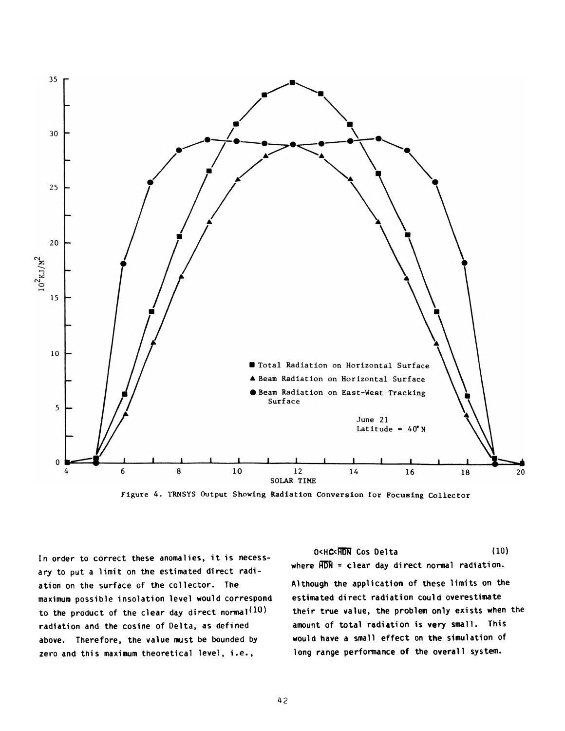

Figure 4. TRNSYS Output Showing Radiation Conversion for Focusing Collector

In order to correct these anomalies, it is necessary to put a limit on the estimated direct radiation on the surface of the collector. The maximum possible insolation level would correspond to the product of the clear day direct normal<sup>(10)</sup> radiation and the cosine of Delta, as defined above. Therefore, the value must be bounded by zero and this maximum theoretical level, i.e.,

O<HC<HON Cos Delta (10) where  $\overline{HDN}$  = clear day direct normal radiation. Although the application of these limits on the estimated direct radiation could overestimate their true value, the problem only exists when the amount of total radiation is very small. This would have a small effect on the simulation of long range performance of the overall system.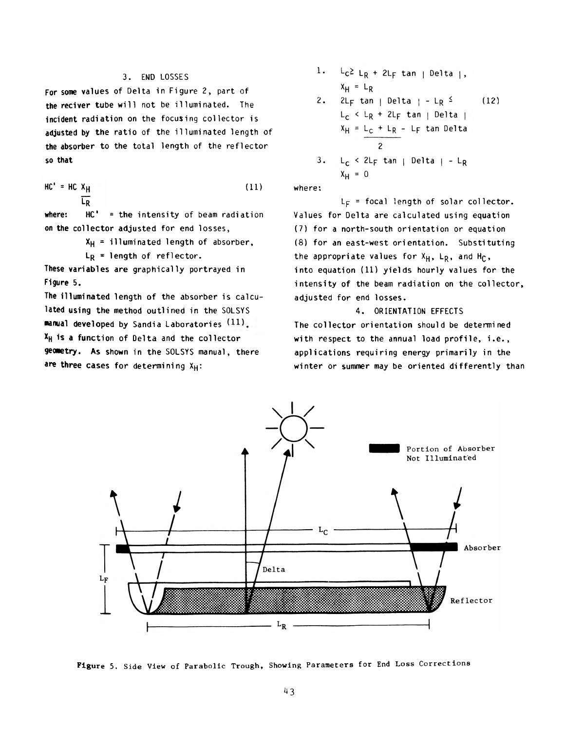## 3. END LOSSES

For some values of Delta in Figure 2, part of the reciver tube will not be illuminated. The incident radiation on the focusing collector is adjusted by the ratio of the illuminated length of the absorber to the total length of the reflector so that

 $HC' = HC X_H$  (11) L<sub>R</sub>

where:  $HC' = the intensity of beam radiation$ on the collector adjusted for end losses,

 $X_H$  = illuminated length of absorber,

 $L_R$  = length of reflector.

These variables are graphically portrayed in Figure 5.

The illuminated length of the absorber is calculated using the method outlined in the SOLSYS manual developed by Sandia Laboratories (11).  $X_H$  is a function of Delta and the collector geometry. As shown in the SOLSYS manual, there are three cases for determining  $X_H$ :

1. 
$$
L_C \ge L_R + 2L_F \tan |\text{Delta}|
$$
,  
\n $X_H = L_R$   
\n2.  $2L_F \tan |\text{Delta}| - L_R \leq$  (12)  
\n $L_C \leq L_R + 2L_F \tan |\text{Delta}|$   
\n $X_H = L_C + L_R - L_F \tan \text{Delta}$   
\n2  
\n3.  $L_C \leq 2L_F \tan |\text{Delta}| - L_R$   
\n $X_H = 0$ 

where:

 $L_F$  = focal length of solar collector. Values for Delta are calculated using equation (7) for a north-south orientation or equation  $(8)$  for an east-west orientation. Substituting the appropriate values for  $X_H$ , L<sub>R</sub>, and H<sub>C</sub>, into equation  $(11)$  yields hourly values for the intensity of the beam radiation on the collector, adjusted for end losses.

4. ORIENTATION EFFECTS The collector orientation should be determined with respect to the annual load profile, i.e., applications requiring energy primarily in the winter or summer may be oriented differently than



**Figure** 5. Side View of Parabolic Trough, Showing Parameters for End Loss Corrections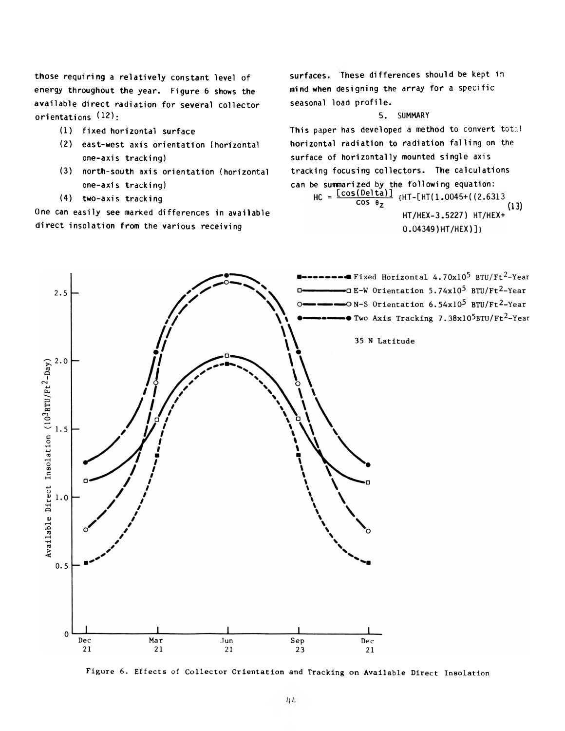those requiring a relatively constant level of energy throughout the year. Figure 6 shows the available direct radiation for several collector orientations (12);

- (1) fixed horizontal surface
- (2) east-west axis orientation (horizontal one-axis tracking)
- (3) north-south axis orientation (horizontal one-axis tracking)
- (4) two-axis tracking

One can easily see marked differences in available direct insolation from the various receiving

surfaces. These differences should be kept in mind when designing the array for a specific seasonal load profile.

#### 5. SUMMARY

This paper has developed a method to convert total horizontal radiation to radiation falling on the surface of horizontally mounted single axis tracking focusing collectors. The calculations can be summarized by the following equation:<br> $HC = \frac{[cos(Delta)]}{[HT-[HT(1.0045+(2.6313$  $\cos \theta$  $(13)$ HT/HEX-3.5227) HT/HEX+  $0.04349$ ) HT/HEX) ]}



Figure 6. Effects of Collector Orientation and Tracking on Available Direct Insolation